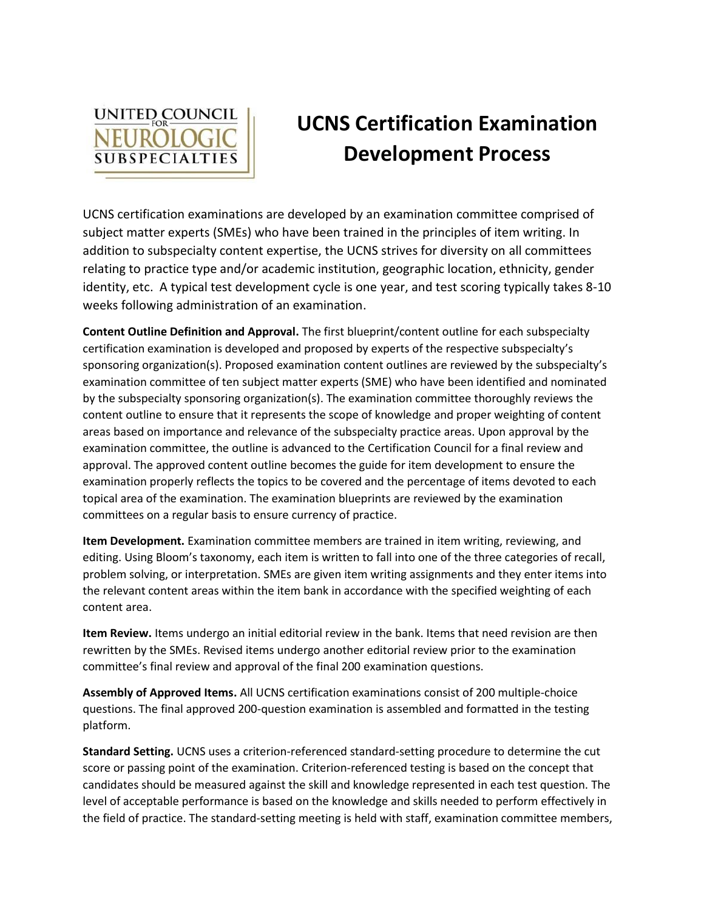

## **UCNS Certification Examination Development Process**

UCNS certification examinations are developed by an examination committee comprised of subject matter experts (SMEs) who have been trained in the principles of item writing. In addition to subspecialty content expertise, the UCNS strives for diversity on all committees relating to practice type and/or academic institution, geographic location, ethnicity, gender identity, etc. A typical test development cycle is one year, and test scoring typically takes 8-10 weeks following administration of an examination.

**Content Outline Definition and Approval.** The first blueprint/content outline for each subspecialty certification examination is developed and proposed by experts of the respective subspecialty's sponsoring organization(s). Proposed examination content outlines are reviewed by the subspecialty's examination committee of ten subject matter experts (SME) who have been identified and nominated by the subspecialty sponsoring organization(s). The examination committee thoroughly reviews the content outline to ensure that it represents the scope of knowledge and proper weighting of content areas based on importance and relevance of the subspecialty practice areas. Upon approval by the examination committee, the outline is advanced to the Certification Council for a final review and approval. The approved content outline becomes the guide for item development to ensure the examination properly reflects the topics to be covered and the percentage of items devoted to each topical area of the examination. The examination blueprints are reviewed by the examination committees on a regular basis to ensure currency of practice.

**Item Development.** Examination committee members are trained in item writing, reviewing, and editing. Using Bloom's taxonomy, each item is written to fall into one of the three categories of recall, problem solving, or interpretation. SMEs are given item writing assignments and they enter items into the relevant content areas within the item bank in accordance with the specified weighting of each content area.

**Item Review.** Items undergo an initial editorial review in the bank. Items that need revision are then rewritten by the SMEs. Revised items undergo another editorial review prior to the examination committee's final review and approval of the final 200 examination questions.

**Assembly of Approved Items.** All UCNS certification examinations consist of 200 multiple-choice questions. The final approved 200-question examination is assembled and formatted in the testing platform.

**Standard Setting.** UCNS uses a criterion-referenced standard-setting procedure to determine the cut score or passing point of the examination. Criterion-referenced testing is based on the concept that candidates should be measured against the skill and knowledge represented in each test question. The level of acceptable performance is based on the knowledge and skills needed to perform effectively in the field of practice. The standard-setting meeting is held with staff, examination committee members,